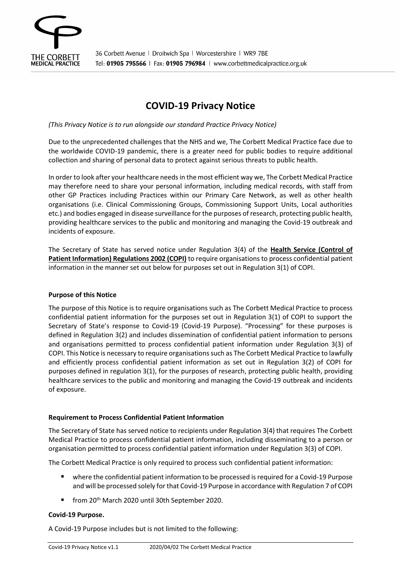

# **COVID-19 Privacy Notice**

*(This Privacy Notice is to run alongside our standard Practice Privacy Notice)*

Due to the unprecedented challenges that the NHS and we, The Corbett Medical Practice face due to the worldwide COVID-19 pandemic, there is a greater need for public bodies to require additional collection and sharing of personal data to protect against serious threats to public health.

In order to look after your healthcare needs in the most efficient way we, The Corbett Medical Practice may therefore need to share your personal information, including medical records, with staff from other GP Practices including Practices within our Primary Care Network, as well as other health organisations (i.e. Clinical Commissioning Groups, Commissioning Support Units, Local authorities etc.) and bodies engaged in disease surveillance forthe purposes ofresearch, protecting public health, providing healthcare services to the public and monitoring and managing the Covid-19 outbreak and incidents of exposure.

The Secretary of State has served notice under Regulation 3(4) of the **Health Service (Control of Patient Information) Regulations 2002 (COPI)** to require organisations to process confidential patient information in the manner set out below for purposes set out in Regulation 3(1) of COPI.

## **Purpose of this Notice**

The purpose of this Notice is to require organisations such as The Corbett Medical Practice to process confidential patient information for the purposes set out in Regulation 3(1) of COPI to support the Secretary of State's response to Covid-19 (Covid-19 Purpose). "Processing" for these purposes is defined in Regulation 3(2) and includes dissemination of confidential patient information to persons and organisations permitted to process confidential patient information under Regulation 3(3) of COPI. This Notice is necessary to require organisations such as The Corbett Medical Practice to lawfully and efficiently process confidential patient information as set out in Regulation 3(2) of COPI for purposes defined in regulation 3(1), for the purposes of research, protecting public health, providing healthcare services to the public and monitoring and managing the Covid-19 outbreak and incidents of exposure.

#### **Requirement to Process Confidential Patient Information**

The Secretary of State has served notice to recipients under Regulation 3(4) that requires The Corbett Medical Practice to process confidential patient information, including disseminating to a person or organisation permitted to process confidential patient information under Regulation 3(3) of COPI.

The Corbett Medical Practice is only required to process such confidential patient information:

- where the confidential patient information to be processed is required for a Covid-19 Purpose and will be processed solely for that Covid-19 Purpose in accordance with Regulation 7 of COPI
- from 20<sup>th</sup> March 2020 until 30th September 2020.

# **Covid-19 Purpose.**

A Covid-19 Purpose includes but is not limited to the following: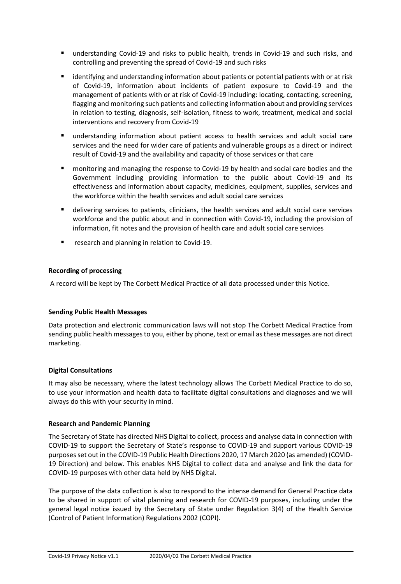- understanding Covid-19 and risks to public health, trends in Covid-19 and such risks, and controlling and preventing the spread of Covid-19 and such risks
- identifying and understanding information about patients or potential patients with or at risk of Covid-19, information about incidents of patient exposure to Covid-19 and the management of patients with or at risk of Covid-19 including: locating, contacting, screening, flagging and monitoring such patients and collecting information about and providing services in relation to testing, diagnosis, self-isolation, fitness to work, treatment, medical and social interventions and recovery from Covid-19
- understanding information about patient access to health services and adult social care services and the need for wider care of patients and vulnerable groups as a direct or indirect result of Covid-19 and the availability and capacity of those services or that care
- monitoring and managing the response to Covid-19 by health and social care bodies and the Government including providing information to the public about Covid-19 and its effectiveness and information about capacity, medicines, equipment, supplies, services and the workforce within the health services and adult social care services
- delivering services to patients, clinicians, the health services and adult social care services workforce and the public about and in connection with Covid-19, including the provision of information, fit notes and the provision of health care and adult social care services
- research and planning in relation to Covid-19.

# **Recording of processing**

A record will be kept by The Corbett Medical Practice of all data processed under this Notice.

#### **Sending Public Health Messages**

Data protection and electronic communication laws will not stop The Corbett Medical Practice from sending public health messages to you, either by phone, text or email as these messages are not direct marketing.

#### **Digital Consultations**

It may also be necessary, where the latest technology allows The Corbett Medical Practice to do so, to use your information and health data to facilitate digital consultations and diagnoses and we will always do this with your security in mind.

#### **Research and Pandemic Planning**

The Secretary of State has directed NHS Digital to collect, process and analyse data in connection with COVID-19 to support the Secretary of State's response to COVID-19 and support various COVID-19 purposesset out in the COVID-19 Public Health Directions 2020, 17 March 2020 (as amended) (COVID-19 Direction) and below. This enables NHS Digital to collect data and analyse and link the data for COVID-19 purposes with other data held by NHS Digital.

The purpose of the data collection is also to respond to the intense demand for General Practice data to be shared in support of vital planning and research for COVID-19 purposes, including under the general legal notice issued by the Secretary of State under Regulation 3(4) of the Health Service (Control of Patient Information) Regulations 2002 (COPI).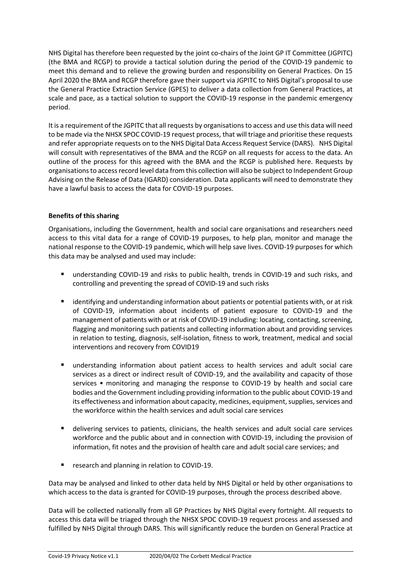NHS Digital has therefore been requested by the joint co-chairs of the Joint GP IT Committee (JGPITC) (the BMA and RCGP) to provide a tactical solution during the period of the COVID-19 pandemic to meet this demand and to relieve the growing burden and responsibility on General Practices. On 15 April 2020 the BMA and RCGP therefore gave their support via JGPITC to NHS Digital's proposal to use the General Practice Extraction Service (GPES) to deliver a data collection from General Practices, at scale and pace, as a tactical solution to support the COVID-19 response in the pandemic emergency period.

It is a requirement of the JGPITC that all requests by organisationsto access and use this data will need to be made via the NHSX SPOC COVID-19 request process, that will triage and prioritise these requests and refer appropriate requests on to the NHS Digital Data Access Request Service (DARS). NHS Digital will consult with representatives of the BMA and the RCGP on all requests for access to the data. An outline of the process for this agreed with the BMA and the RCGP is published here. Requests by organisationsto accessrecord level data from this collection will also be subject to Independent Group Advising on the Release of Data (IGARD) consideration. Data applicants will need to demonstrate they have a lawful basis to access the data for COVID-19 purposes.

# **Benefits of this sharing**

Organisations, including the Government, health and social care organisations and researchers need access to this vital data for a range of COVID-19 purposes, to help plan, monitor and manage the national response to the COVID-19 pandemic, which will help save lives. COVID-19 purposes for which this data may be analysed and used may include:

- understanding COVID-19 and risks to public health, trends in COVID-19 and such risks, and controlling and preventing the spread of COVID-19 and such risks
- identifying and understanding information about patients or potential patients with, or at risk of COVID-19, information about incidents of patient exposure to COVID-19 and the management of patients with or at risk of COVID-19 including: locating, contacting, screening, flagging and monitoring such patients and collecting information about and providing services in relation to testing, diagnosis, self-isolation, fitness to work, treatment, medical and social interventions and recovery from COVID19
- understanding information about patient access to health services and adult social care services as a direct or indirect result of COVID-19, and the availability and capacity of those services • monitoring and managing the response to COVID-19 by health and social care bodies and the Government including providing information to the public about COVID-19 and its effectiveness and information about capacity, medicines, equipment, supplies, services and the workforce within the health services and adult social care services
- delivering services to patients, clinicians, the health services and adult social care services workforce and the public about and in connection with COVID-19, including the provision of information, fit notes and the provision of health care and adult social care services; and
- research and planning in relation to COVID-19.

Data may be analysed and linked to other data held by NHS Digital or held by other organisations to which access to the data is granted for COVID-19 purposes, through the process described above.

Data will be collected nationally from all GP Practices by NHS Digital every fortnight. All requests to access this data will be triaged through the NHSX SPOC COVID-19 request process and assessed and fulfilled by NHS Digital through DARS. This will significantly reduce the burden on General Practice at